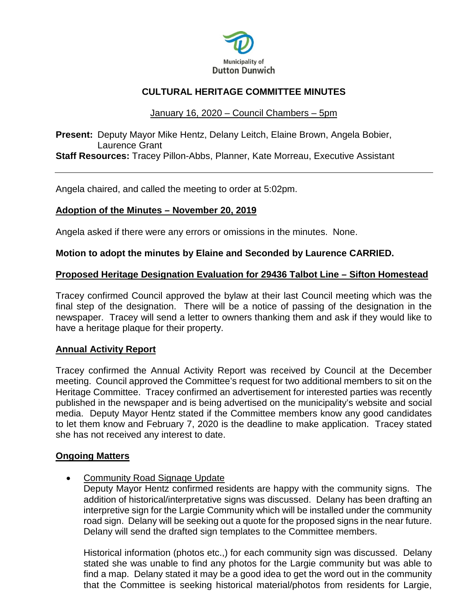

# **CULTURAL HERITAGE COMMITTEE MINUTES**

## January 16, 2020 – Council Chambers – 5pm

**Present:** Deputy Mayor Mike Hentz, Delany Leitch, Elaine Brown, Angela Bobier, Laurence Grant **Staff Resources:** Tracey Pillon-Abbs, Planner, Kate Morreau, Executive Assistant

Angela chaired, and called the meeting to order at 5:02pm.

## **Adoption of the Minutes – November 20, 2019**

Angela asked if there were any errors or omissions in the minutes. None.

## **Motion to adopt the minutes by Elaine and Seconded by Laurence CARRIED.**

## **Proposed Heritage Designation Evaluation for 29436 Talbot Line – Sifton Homestead**

Tracey confirmed Council approved the bylaw at their last Council meeting which was the final step of the designation. There will be a notice of passing of the designation in the newspaper. Tracey will send a letter to owners thanking them and ask if they would like to have a heritage plaque for their property.

## **Annual Activity Report**

Tracey confirmed the Annual Activity Report was received by Council at the December meeting. Council approved the Committee's request for two additional members to sit on the Heritage Committee. Tracey confirmed an advertisement for interested parties was recently published in the newspaper and is being advertised on the municipality's website and social media. Deputy Mayor Hentz stated if the Committee members know any good candidates to let them know and February 7, 2020 is the deadline to make application. Tracey stated she has not received any interest to date.

## **Ongoing Matters**

• Community Road Signage Update

Deputy Mayor Hentz confirmed residents are happy with the community signs. The addition of historical/interpretative signs was discussed. Delany has been drafting an interpretive sign for the Largie Community which will be installed under the community road sign. Delany will be seeking out a quote for the proposed signs in the near future. Delany will send the drafted sign templates to the Committee members.

Historical information (photos etc.,) for each community sign was discussed. Delany stated she was unable to find any photos for the Largie community but was able to find a map. Delany stated it may be a good idea to get the word out in the community that the Committee is seeking historical material/photos from residents for Largie,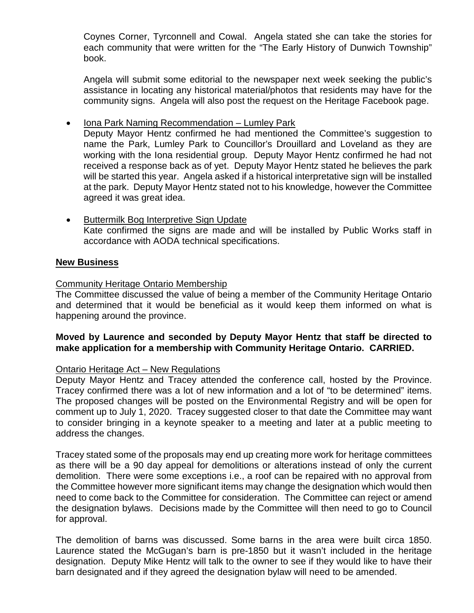Coynes Corner, Tyrconnell and Cowal. Angela stated she can take the stories for each community that were written for the "The Early History of Dunwich Township" book.

Angela will submit some editorial to the newspaper next week seeking the public's assistance in locating any historical material/photos that residents may have for the community signs. Angela will also post the request on the Heritage Facebook page.

• Iona Park Naming Recommendation – Lumley Park

Deputy Mayor Hentz confirmed he had mentioned the Committee's suggestion to name the Park, Lumley Park to Councillor's Drouillard and Loveland as they are working with the Iona residential group. Deputy Mayor Hentz confirmed he had not received a response back as of yet. Deputy Mayor Hentz stated he believes the park will be started this year. Angela asked if a historical interpretative sign will be installed at the park. Deputy Mayor Hentz stated not to his knowledge, however the Committee agreed it was great idea.

• Buttermilk Bog Interpretive Sign Update Kate confirmed the signs are made and will be installed by Public Works staff in accordance with AODA technical specifications.

## **New Business**

## Community Heritage Ontario Membership

The Committee discussed the value of being a member of the Community Heritage Ontario and determined that it would be beneficial as it would keep them informed on what is happening around the province.

## **Moved by Laurence and seconded by Deputy Mayor Hentz that staff be directed to make application for a membership with Community Heritage Ontario. CARRIED.**

## Ontario Heritage Act – New Regulations

Deputy Mayor Hentz and Tracey attended the conference call, hosted by the Province. Tracey confirmed there was a lot of new information and a lot of "to be determined" items. The proposed changes will be posted on the Environmental Registry and will be open for comment up to July 1, 2020. Tracey suggested closer to that date the Committee may want to consider bringing in a keynote speaker to a meeting and later at a public meeting to address the changes.

Tracey stated some of the proposals may end up creating more work for heritage committees as there will be a 90 day appeal for demolitions or alterations instead of only the current demolition. There were some exceptions i.e., a roof can be repaired with no approval from the Committee however more significant items may change the designation which would then need to come back to the Committee for consideration. The Committee can reject or amend the designation bylaws. Decisions made by the Committee will then need to go to Council for approval.

The demolition of barns was discussed. Some barns in the area were built circa 1850. Laurence stated the McGugan's barn is pre-1850 but it wasn't included in the heritage designation. Deputy Mike Hentz will talk to the owner to see if they would like to have their barn designated and if they agreed the designation bylaw will need to be amended.